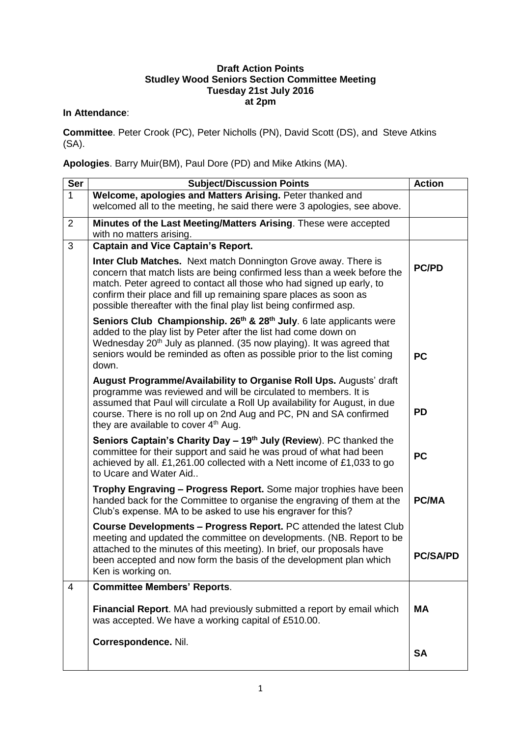## **Draft Action Points Studley Wood Seniors Section Committee Meeting Tuesday 21st July 2016 at 2pm**

## **In Attendance**:

**Committee**. Peter Crook (PC), Peter Nicholls (PN), David Scott (DS), and Steve Atkins (SA).

**Apologies**. Barry Muir(BM), Paul Dore (PD) and Mike Atkins (MA).

| <b>Ser</b>     | <b>Subject/Discussion Points</b>                                                                                                                                                                                                                                                                                                                             | <b>Action</b>   |
|----------------|--------------------------------------------------------------------------------------------------------------------------------------------------------------------------------------------------------------------------------------------------------------------------------------------------------------------------------------------------------------|-----------------|
| $\mathbf{1}$   | Welcome, apologies and Matters Arising. Peter thanked and<br>welcomed all to the meeting, he said there were 3 apologies, see above.                                                                                                                                                                                                                         |                 |
| $\overline{2}$ | Minutes of the Last Meeting/Matters Arising. These were accepted<br>with no matters arising.                                                                                                                                                                                                                                                                 |                 |
| 3              | <b>Captain and Vice Captain's Report.</b>                                                                                                                                                                                                                                                                                                                    |                 |
|                | Inter Club Matches. Next match Donnington Grove away. There is<br>concern that match lists are being confirmed less than a week before the<br>match. Peter agreed to contact all those who had signed up early, to<br>confirm their place and fill up remaining spare places as soon as<br>possible thereafter with the final play list being confirmed asp. | <b>PC/PD</b>    |
|                | Seniors Club Championship. 26 <sup>th</sup> & 28 <sup>th</sup> July. 6 late applicants were<br>added to the play list by Peter after the list had come down on<br>Wednesday 20 <sup>th</sup> July as planned. (35 now playing). It was agreed that<br>seniors would be reminded as often as possible prior to the list coming<br>down.                       | <b>PC</b>       |
|                | August Programme/Availability to Organise Roll Ups. Augusts' draft<br>programme was reviewed and will be circulated to members. It is<br>assumed that Paul will circulate a Roll Up availability for August, in due<br>course. There is no roll up on 2nd Aug and PC, PN and SA confirmed<br>they are available to cover 4 <sup>th</sup> Aug.                | <b>PD</b>       |
|                | Seniors Captain's Charity Day - 19th July (Review). PC thanked the<br>committee for their support and said he was proud of what had been<br>achieved by all. £1,261.00 collected with a Nett income of £1,033 to go<br>to Ucare and Water Aid                                                                                                                | <b>PC</b>       |
|                | Trophy Engraving - Progress Report. Some major trophies have been<br>handed back for the Committee to organise the engraving of them at the<br>Club's expense. MA to be asked to use his engraver for this?                                                                                                                                                  | <b>PC/MA</b>    |
|                | Course Developments - Progress Report. PC attended the latest Club<br>meeting and updated the committee on developments. (NB. Report to be<br>attached to the minutes of this meeting). In brief, our proposals have<br>been accepted and now form the basis of the development plan which<br>Ken is working on.                                             | <b>PC/SA/PD</b> |
| $\overline{4}$ | <b>Committee Members' Reports.</b>                                                                                                                                                                                                                                                                                                                           |                 |
|                | Financial Report. MA had previously submitted a report by email which<br>was accepted. We have a working capital of £510.00.                                                                                                                                                                                                                                 | <b>MA</b>       |
|                | Correspondence. Nil.                                                                                                                                                                                                                                                                                                                                         | <b>SA</b>       |